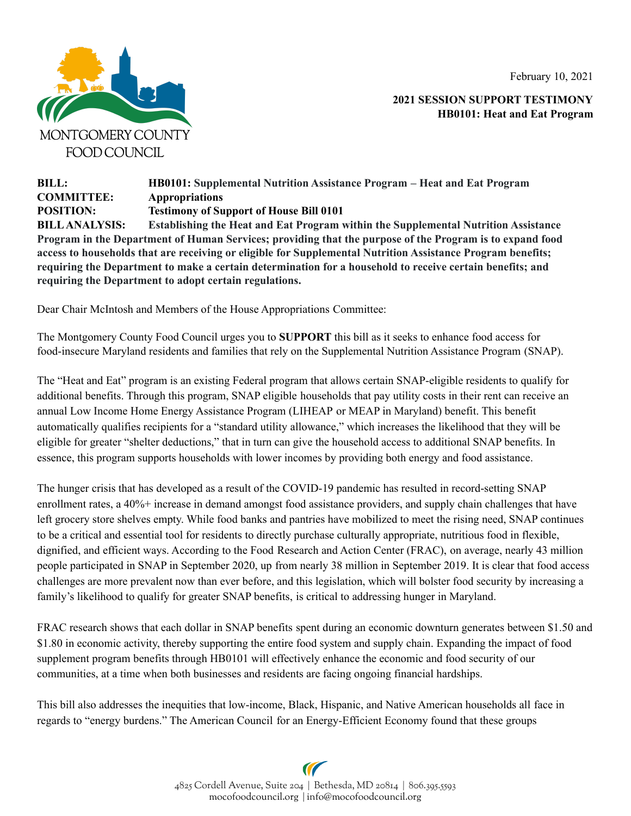February 10, 2021



**2021 SESSION SUPPORT TESTIMONY HB0101: Heat and Eat Program**

## **BILL: HB0101: Supplemental Nutrition Assistance Program – Heat and Eat Program COMMITTEE: Appropriations POSITION: Testimony of Support of House Bill 0101 BILLANALYSIS: Establishing the Heat and Eat Program within the Supplemental Nutrition Assistance** Program in the Department of Human Services; providing that the purpose of the Program is to expand food **access to households that are receiving or eligible for Supplemental Nutrition Assistance Program benefits; requiring the Department to make a certain determination for a household to receive certain benefits; and requiring the Department to adopt certain regulations.**

Dear Chair McIntosh and Members of the House Appropriations Committee:

The Montgomery County Food Council urges you to **SUPPORT** this bill as it seeks to enhance food access for food-insecure Maryland residents and families that rely on the Supplemental Nutrition Assistance Program (SNAP).

The "Heat and Eat" program is an existing Federal program that allows certain SNAP-eligible residents to qualify for additional benefits. Through this program, SNAP eligible households that pay utility costs in their rent can receive an annual Low Income Home Energy Assistance Program (LIHEAP or MEAP in Maryland) benefit. This benefit automatically qualifies recipients for a "standard utility allowance," which increases the likelihood that they will be eligible for greater "shelter deductions," that in turn can give the household access to additional SNAP benefits. In essence, this program supports households with lower incomes by providing both energy and food assistance.

The hunger crisis that has developed as a result of the COVID-19 pandemic has resulted in record-setting SNAP enrollment rates, a 40%+ increase in demand amongst food assistance providers, and supply chain challenges that have left grocery store shelves empty. While food banks and pantries have mobilized to meet the rising need, SNAP continues to be a critical and essential tool for residents to directly purchase culturally appropriate, nutritious food in flexible, dignified, and efficient ways. According to the Food Research and Action Center (FRAC), on average, nearly 43 million people participated in SNAP in September 2020, up from nearly 38 million in September 2019. It is clear that food access challenges are more prevalent now than ever before, and this legislation, which will bolster food security by increasing a family's likelihood to qualify for greater SNAP benefits, is critical to addressing hunger in Maryland.

FRAC research shows that each dollar in SNAP benefits spent during an economic downturn generates between \$1.50 and \$1.80 in economic activity, thereby supporting the entire food system and supply chain. Expanding the impact of food supplement program benefits through HB0101 will effectively enhance the economic and food security of our communities, at a time when both businesses and residents are facing ongoing financial hardships.

This bill also addresses the inequities that low-income, Black, Hispanic, and Native American households all face in regards to "energy burdens." The American Council for an Energy-Efficient Economy found that these groups